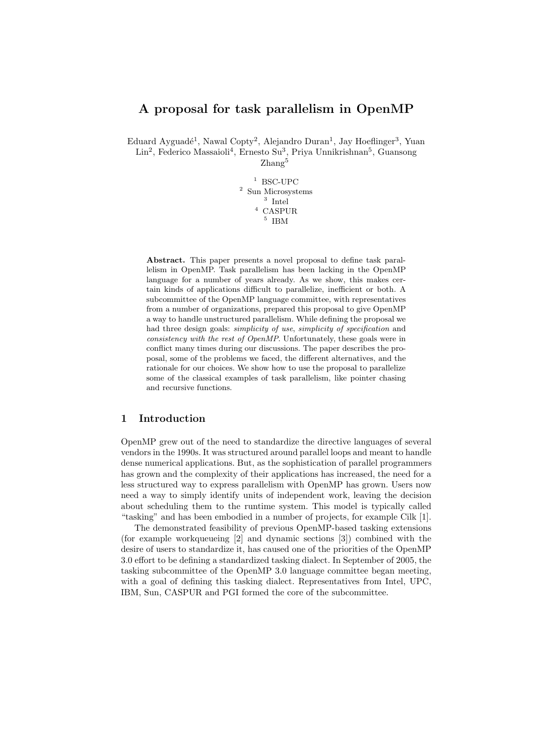# A proposal for task parallelism in OpenMP

Eduard Ayguadé<sup>1</sup>, Nawal Copty<sup>2</sup>, Alejandro Duran<sup>1</sup>, Jay Hoeflinger<sup>3</sup>, Yuan Lin<sup>2</sup>, Federico Massaioli<sup>4</sup>, Ernesto Su<sup>3</sup>, Priya Unnikrishnan<sup>5</sup>, Guansong Zhang<sup>5</sup>

 $1$  BSC-UPC  $^2$ Sun Microsystems  $^3$  Intel <sup>4</sup> CASPUR 5 IBM

Abstract. This paper presents a novel proposal to define task parallelism in OpenMP. Task parallelism has been lacking in the OpenMP language for a number of years already. As we show, this makes certain kinds of applications difficult to parallelize, inefficient or both. A subcommittee of the OpenMP language committee, with representatives from a number of organizations, prepared this proposal to give OpenMP a way to handle unstructured parallelism. While defining the proposal we had three design goals: simplicity of use, simplicity of specification and consistency with the rest of OpenMP. Unfortunately, these goals were in conflict many times during our discussions. The paper describes the proposal, some of the problems we faced, the different alternatives, and the rationale for our choices. We show how to use the proposal to parallelize some of the classical examples of task parallelism, like pointer chasing and recursive functions.

## 1 Introduction

OpenMP grew out of the need to standardize the directive languages of several vendors in the 1990s. It was structured around parallel loops and meant to handle dense numerical applications. But, as the sophistication of parallel programmers has grown and the complexity of their applications has increased, the need for a less structured way to express parallelism with OpenMP has grown. Users now need a way to simply identify units of independent work, leaving the decision about scheduling them to the runtime system. This model is typically called "tasking" and has been embodied in a number of projects, for example Cilk [1].

The demonstrated feasibility of previous OpenMP-based tasking extensions (for example workqueueing [2] and dynamic sections [3]) combined with the desire of users to standardize it, has caused one of the priorities of the OpenMP 3.0 effort to be defining a standardized tasking dialect. In September of 2005, the tasking subcommittee of the OpenMP 3.0 language committee began meeting, with a goal of defining this tasking dialect. Representatives from Intel, UPC, IBM, Sun, CASPUR and PGI formed the core of the subcommittee.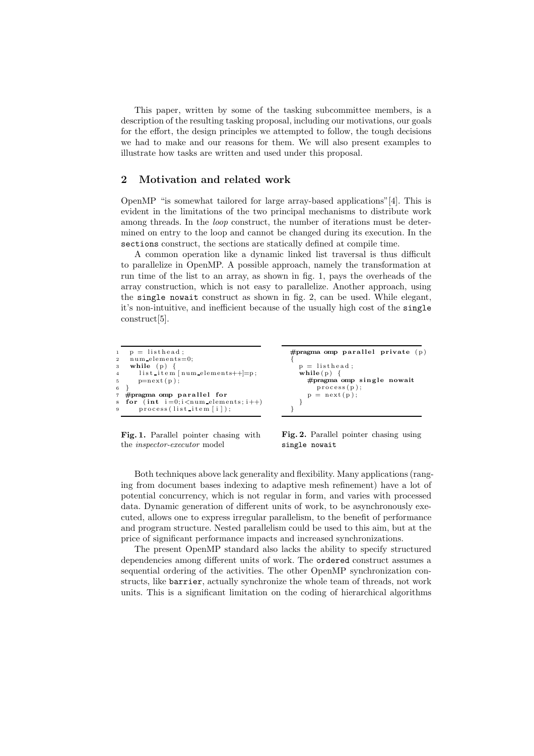This paper, written by some of the tasking subcommittee members, is a description of the resulting tasking proposal, including our motivations, our goals for the effort, the design principles we attempted to follow, the tough decisions we had to make and our reasons for them. We will also present examples to illustrate how tasks are written and used under this proposal.

### 2 Motivation and related work

OpenMP "is somewhat tailored for large array-based applications"[4]. This is evident in the limitations of the two principal mechanisms to distribute work among threads. In the *loop* construct, the number of iterations must be determined on entry to the loop and cannot be changed during its execution. In the sections construct, the sections are statically defined at compile time.

A common operation like a dynamic linked list traversal is thus difficult to parallelize in OpenMP. A possible approach, namely the transformation at run time of the list to an array, as shown in fig. 1, pays the overheads of the array construction, which is not easy to parallelize. Another approach, using the single nowait construct as shown in fig. 2, can be used. While elegant, it's non-intuitive, and inefficient because of the usually high cost of the single construct[5].

| $\mathbf{1}$   | $p =$ listhead;                                            |
|----------------|------------------------------------------------------------|
| $\overline{2}$ | $num\_elements=0;$                                         |
| 3              | while $(p)$ {                                              |
| $\overline{4}$ | $list$ , item [num_elements++ $ =p$ ;                      |
| 5              | $p=next(p);$                                               |
| 6              |                                                            |
| $\overline{7}$ | $\#$ pragma omp parallel for                               |
| 8              | for (int $i=0$ ; $i$ <num <math="" elements;="">i++)</num> |
| 9              | process(listitem[i]);                                      |
|                |                                                            |

 $#$ pragma omp parallel private  $(p)$ {  $p =$  listhead;  $\mathbf{\hat{w}}$ hile  $(\mathbf{p})\in\mathbb{C}$ #pragma omp single nowait p r o c e s s ( p ) ;  $=$  n ext (p); } }

Fig. 1. Parallel pointer chasing with the inspector-executor model

Fig. 2. Parallel pointer chasing using single nowait

Both techniques above lack generality and flexibility. Many applications (ranging from document bases indexing to adaptive mesh refinement) have a lot of potential concurrency, which is not regular in form, and varies with processed data. Dynamic generation of different units of work, to be asynchronously executed, allows one to express irregular parallelism, to the benefit of performance and program structure. Nested parallelism could be used to this aim, but at the price of significant performance impacts and increased synchronizations.

The present OpenMP standard also lacks the ability to specify structured dependencies among different units of work. The ordered construct assumes a sequential ordering of the activities. The other OpenMP synchronization constructs, like barrier, actually synchronize the whole team of threads, not work units. This is a significant limitation on the coding of hierarchical algorithms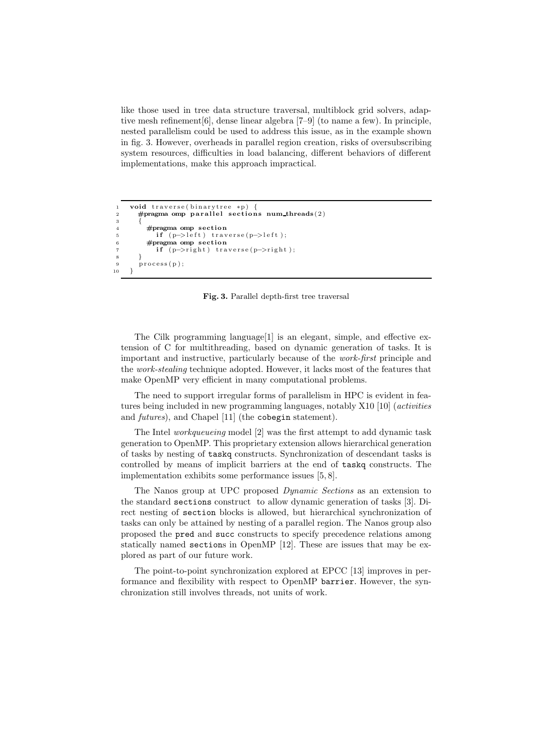like those used in tree data structure traversal, multiblock grid solvers, adaptive mesh refinement[6], dense linear algebra [7–9] (to name a few). In principle, nested parallelism could be used to address this issue, as in the example shown in fig. 3. However, overheads in parallel region creation, risks of oversubscribing system resources, difficulties in load balancing, different behaviors of different implementations, make this approach impractical.

```
void traverse (binarytree *p) {
      #pragma omp parallel sections num threads (2)3 {
4 #pragma omp section<br>5 if (p->left) traverse(p->left);
6 \qquad \qquad \# \text{pragma} omp section
7 if (p \rightarrowright) traverse(p->right);
8 }
9 \text{ process (p)};
10 }
```
Fig. 3. Parallel depth-first tree traversal

The Cilk programming language[1] is an elegant, simple, and effective extension of C for multithreading, based on dynamic generation of tasks. It is important and instructive, particularly because of the work-first principle and the work-stealing technique adopted. However, it lacks most of the features that make OpenMP very efficient in many computational problems.

The need to support irregular forms of parallelism in HPC is evident in features being included in new programming languages, notably X10 [10] (*activities* and futures), and Chapel [11] (the cobegin statement).

The Intel workqueueing model [2] was the first attempt to add dynamic task generation to OpenMP. This proprietary extension allows hierarchical generation of tasks by nesting of taskq constructs. Synchronization of descendant tasks is controlled by means of implicit barriers at the end of taskq constructs. The implementation exhibits some performance issues [5, 8].

The Nanos group at UPC proposed Dynamic Sections as an extension to the standard sections construct to allow dynamic generation of tasks [3]. Direct nesting of section blocks is allowed, but hierarchical synchronization of tasks can only be attained by nesting of a parallel region. The Nanos group also proposed the pred and succ constructs to specify precedence relations among statically named sections in OpenMP [12]. These are issues that may be explored as part of our future work.

The point-to-point synchronization explored at EPCC [13] improves in performance and flexibility with respect to OpenMP barrier. However, the synchronization still involves threads, not units of work.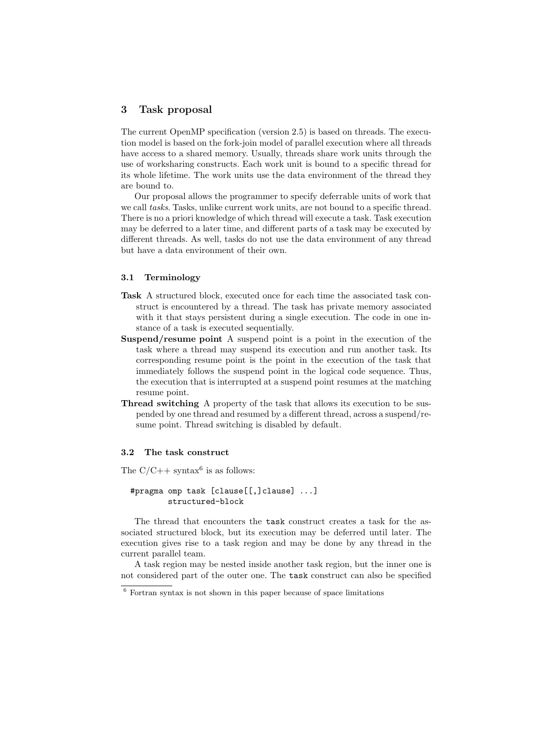### 3 Task proposal

The current OpenMP specification (version 2.5) is based on threads. The execution model is based on the fork-join model of parallel execution where all threads have access to a shared memory. Usually, threads share work units through the use of worksharing constructs. Each work unit is bound to a specific thread for its whole lifetime. The work units use the data environment of the thread they are bound to.

Our proposal allows the programmer to specify deferrable units of work that we call tasks. Tasks, unlike current work units, are not bound to a specific thread. There is no a priori knowledge of which thread will execute a task. Task execution may be deferred to a later time, and different parts of a task may be executed by different threads. As well, tasks do not use the data environment of any thread but have a data environment of their own.

### 3.1 Terminology

- Task A structured block, executed once for each time the associated task construct is encountered by a thread. The task has private memory associated with it that stays persistent during a single execution. The code in one instance of a task is executed sequentially.
- Suspend/resume point A suspend point is a point in the execution of the task where a thread may suspend its execution and run another task. Its corresponding resume point is the point in the execution of the task that immediately follows the suspend point in the logical code sequence. Thus, the execution that is interrupted at a suspend point resumes at the matching resume point.
- Thread switching A property of the task that allows its execution to be suspended by one thread and resumed by a different thread, across a suspend/resume point. Thread switching is disabled by default.

#### 3.2 The task construct

The  $C/C++$  syntax<sup>6</sup> is as follows:

```
#pragma omp task [clause[[,]clause] ...]
        structured-block
```
The thread that encounters the task construct creates a task for the associated structured block, but its execution may be deferred until later. The execution gives rise to a task region and may be done by any thread in the current parallel team.

A task region may be nested inside another task region, but the inner one is not considered part of the outer one. The task construct can also be specified

 $6$  Fortran syntax is not shown in this paper because of space limitations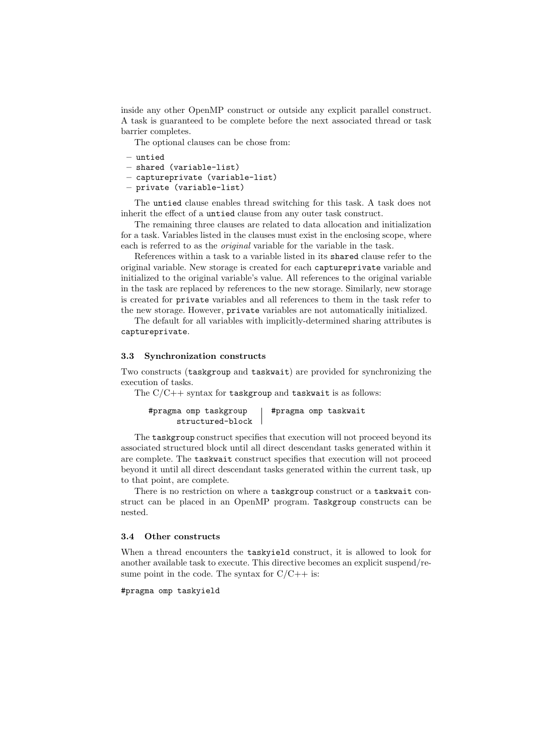inside any other OpenMP construct or outside any explicit parallel construct. A task is guaranteed to be complete before the next associated thread or task barrier completes.

The optional clauses can be chose from:

```
– untied
```

```
– shared (variable-list)
```

```
– captureprivate (variable-list)
```
– private (variable-list)

The untied clause enables thread switching for this task. A task does not inherit the effect of a untied clause from any outer task construct.

The remaining three clauses are related to data allocation and initialization for a task. Variables listed in the clauses must exist in the enclosing scope, where each is referred to as the original variable for the variable in the task.

References within a task to a variable listed in its shared clause refer to the original variable. New storage is created for each captureprivate variable and initialized to the original variable's value. All references to the original variable in the task are replaced by references to the new storage. Similarly, new storage is created for private variables and all references to them in the task refer to the new storage. However, private variables are not automatically initialized.

The default for all variables with implicitly-determined sharing attributes is captureprivate.

#### 3.3 Synchronization constructs

Two constructs (taskgroup and taskwait) are provided for synchronizing the execution of tasks.

The  $C/C++$  syntax for taskgroup and taskwait is as follows:

#pragma omp taskgroup structured-block #pragma omp taskwait

The taskgroup construct specifies that execution will not proceed beyond its associated structured block until all direct descendant tasks generated within it are complete. The taskwait construct specifies that execution will not proceed beyond it until all direct descendant tasks generated within the current task, up to that point, are complete.

There is no restriction on where a taskgroup construct or a taskwait construct can be placed in an OpenMP program. Taskgroup constructs can be nested.

### 3.4 Other constructs

When a thread encounters the taskyield construct, it is allowed to look for another available task to execute. This directive becomes an explicit suspend/resume point in the code. The syntax for  $C/C++$  is:

#pragma omp taskyield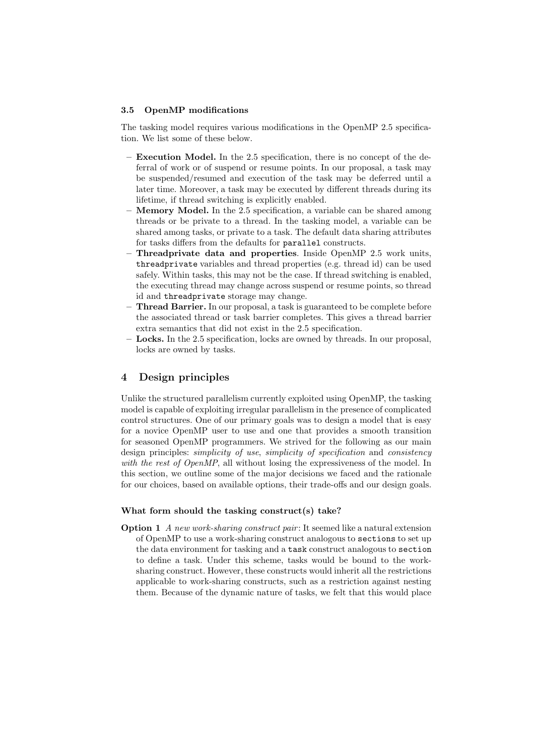### 3.5 OpenMP modifications

The tasking model requires various modifications in the OpenMP 2.5 specification. We list some of these below.

- Execution Model. In the 2.5 specification, there is no concept of the deferral of work or of suspend or resume points. In our proposal, a task may be suspended/resumed and execution of the task may be deferred until a later time. Moreover, a task may be executed by different threads during its lifetime, if thread switching is explicitly enabled.
- Memory Model. In the 2.5 specification, a variable can be shared among threads or be private to a thread. In the tasking model, a variable can be shared among tasks, or private to a task. The default data sharing attributes for tasks differs from the defaults for parallel constructs.
- Threadprivate data and properties. Inside OpenMP 2.5 work units, threadprivate variables and thread properties (e.g. thread id) can be used safely. Within tasks, this may not be the case. If thread switching is enabled, the executing thread may change across suspend or resume points, so thread id and threadprivate storage may change.
- Thread Barrier. In our proposal, a task is guaranteed to be complete before the associated thread or task barrier completes. This gives a thread barrier extra semantics that did not exist in the 2.5 specification.
- Locks. In the 2.5 specification, locks are owned by threads. In our proposal, locks are owned by tasks.

### 4 Design principles

Unlike the structured parallelism currently exploited using OpenMP, the tasking model is capable of exploiting irregular parallelism in the presence of complicated control structures. One of our primary goals was to design a model that is easy for a novice OpenMP user to use and one that provides a smooth transition for seasoned OpenMP programmers. We strived for the following as our main design principles: *simplicity of use*, *simplicity of specification* and *consistency* with the rest of OpenMP, all without losing the expressiveness of the model. In this section, we outline some of the major decisions we faced and the rationale for our choices, based on available options, their trade-offs and our design goals.

#### What form should the tasking construct(s) take?

**Option 1** A new work-sharing construct pair: It seemed like a natural extension of OpenMP to use a work-sharing construct analogous to sections to set up the data environment for tasking and a task construct analogous to section to define a task. Under this scheme, tasks would be bound to the worksharing construct. However, these constructs would inherit all the restrictions applicable to work-sharing constructs, such as a restriction against nesting them. Because of the dynamic nature of tasks, we felt that this would place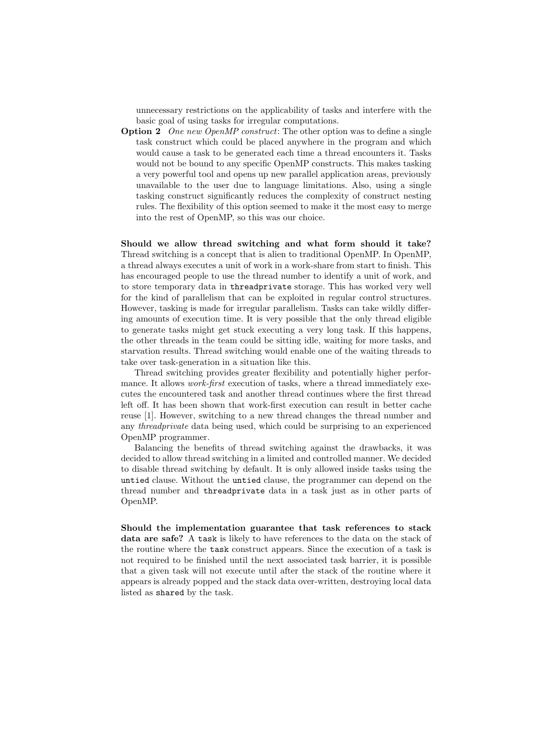unnecessary restrictions on the applicability of tasks and interfere with the basic goal of using tasks for irregular computations.

**Option 2** One new OpenMP construct: The other option was to define a single task construct which could be placed anywhere in the program and which would cause a task to be generated each time a thread encounters it. Tasks would not be bound to any specific OpenMP constructs. This makes tasking a very powerful tool and opens up new parallel application areas, previously unavailable to the user due to language limitations. Also, using a single tasking construct significantly reduces the complexity of construct nesting rules. The flexibility of this option seemed to make it the most easy to merge into the rest of OpenMP, so this was our choice.

Should we allow thread switching and what form should it take? Thread switching is a concept that is alien to traditional OpenMP. In OpenMP, a thread always executes a unit of work in a work-share from start to finish. This has encouraged people to use the thread number to identify a unit of work, and to store temporary data in threadprivate storage. This has worked very well for the kind of parallelism that can be exploited in regular control structures. However, tasking is made for irregular parallelism. Tasks can take wildly differing amounts of execution time. It is very possible that the only thread eligible to generate tasks might get stuck executing a very long task. If this happens, the other threads in the team could be sitting idle, waiting for more tasks, and starvation results. Thread switching would enable one of the waiting threads to take over task-generation in a situation like this.

Thread switching provides greater flexibility and potentially higher performance. It allows *work-first* execution of tasks, where a thread immediately executes the encountered task and another thread continues where the first thread left off. It has been shown that work-first execution can result in better cache reuse [1]. However, switching to a new thread changes the thread number and any threadprivate data being used, which could be surprising to an experienced OpenMP programmer.

Balancing the benefits of thread switching against the drawbacks, it was decided to allow thread switching in a limited and controlled manner. We decided to disable thread switching by default. It is only allowed inside tasks using the untied clause. Without the untied clause, the programmer can depend on the thread number and threadprivate data in a task just as in other parts of OpenMP.

Should the implementation guarantee that task references to stack data are safe? A task is likely to have references to the data on the stack of the routine where the task construct appears. Since the execution of a task is not required to be finished until the next associated task barrier, it is possible that a given task will not execute until after the stack of the routine where it appears is already popped and the stack data over-written, destroying local data listed as shared by the task.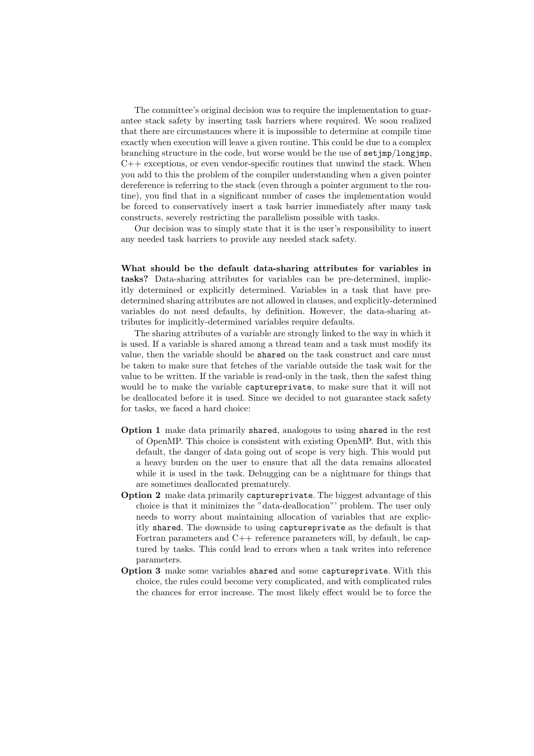The committee's original decision was to require the implementation to guarantee stack safety by inserting task barriers where required. We soon realized that there are circumstances where it is impossible to determine at compile time exactly when execution will leave a given routine. This could be due to a complex branching structure in the code, but worse would be the use of  $setimp/\nlongimp$ , C++ exceptions, or even vendor-specific routines that unwind the stack. When you add to this the problem of the compiler understanding when a given pointer dereference is referring to the stack (even through a pointer argument to the routine), you find that in a significant number of cases the implementation would be forced to conservatively insert a task barrier immediately after many task constructs, severely restricting the parallelism possible with tasks.

Our decision was to simply state that it is the user's responsibility to insert any needed task barriers to provide any needed stack safety.

What should be the default data-sharing attributes for variables in tasks? Data-sharing attributes for variables can be pre-determined, implicitly determined or explicitly determined. Variables in a task that have predetermined sharing attributes are not allowed in clauses, and explicitly-determined variables do not need defaults, by definition. However, the data-sharing attributes for implicitly-determined variables require defaults.

The sharing attributes of a variable are strongly linked to the way in which it is used. If a variable is shared among a thread team and a task must modify its value, then the variable should be shared on the task construct and care must be taken to make sure that fetches of the variable outside the task wait for the value to be written. If the variable is read-only in the task, then the safest thing would be to make the variable captureprivate, to make sure that it will not be deallocated before it is used. Since we decided to not guarantee stack safety for tasks, we faced a hard choice:

- Option 1 make data primarily shared, analogous to using shared in the rest of OpenMP. This choice is consistent with existing OpenMP. But, with this default, the danger of data going out of scope is very high. This would put a heavy burden on the user to ensure that all the data remains allocated while it is used in the task. Debugging can be a nightmare for things that are sometimes deallocated prematurely.
- Option 2 make data primarily captureprivate. The biggest advantage of this choice is that it minimizes the "data-deallocation"' problem. The user only needs to worry about maintaining allocation of variables that are explicitly shared. The downside to using captureprivate as the default is that Fortran parameters and C++ reference parameters will, by default, be captured by tasks. This could lead to errors when a task writes into reference parameters.
- Option 3 make some variables shared and some captureprivate. With this choice, the rules could become very complicated, and with complicated rules the chances for error increase. The most likely effect would be to force the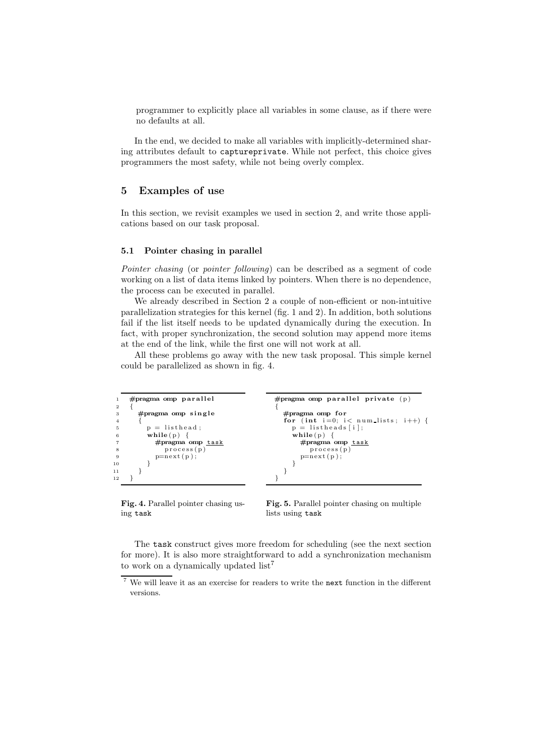programmer to explicitly place all variables in some clause, as if there were no defaults at all.

In the end, we decided to make all variables with implicitly-determined sharing attributes default to captureprivate. While not perfect, this choice gives programmers the most safety, while not being overly complex.

### 5 Examples of use

In this section, we revisit examples we used in section 2, and write those applications based on our task proposal.

### 5.1 Pointer chasing in parallel

Pointer chasing (or pointer following) can be described as a segment of code working on a list of data items linked by pointers. When there is no dependence, the process can be executed in parallel.

We already described in Section 2 a couple of non-efficient or non-intuitive parallelization strategies for this kernel (fig. 1 and 2). In addition, both solutions fail if the list itself needs to be updated dynamically during the execution. In fact, with proper synchronization, the second solution may append more items at the end of the link, while the first one will not work at all.

All these problems go away with the new task proposal. This simple kernel could be parallelized as shown in fig. 4.

```
\#\mathrm{pragma\ comp\ parallel}2 {
\frac{3}{4} #pragma omp single
 4 {
5 \qquad p = \text{listhead};6 while (p) {
7 #pragma omp \frac{task}{k}8 process (p)
9 p=next(p);
10  }
11 }
12 }
                                                   \#pragma omp parallel private (p){
                                                     #pragma omp for
                                                     for (int i=0; i< num_lists; i++) {<br>p = listheads [i];
                                                            \frac{1}{1} istheads [i];
                                                        \mathbf{\hat{w}}hile (\mathbf{p})\in\{#pragma omp _{\texttt{task}}\overline{\text{process}}(\text{p})p=next(p);
                                                        }
                                                     }
                                                   }
```
Fig. 4. Parallel pointer chasing using task

Fig. 5. Parallel pointer chasing on multiple lists using task

The task construct gives more freedom for scheduling (see the next section for more). It is also more straightforward to add a synchronization mechanism to work on a dynamically updated list<sup>7</sup>

<sup>7</sup> We will leave it as an exercise for readers to write the next function in the different versions.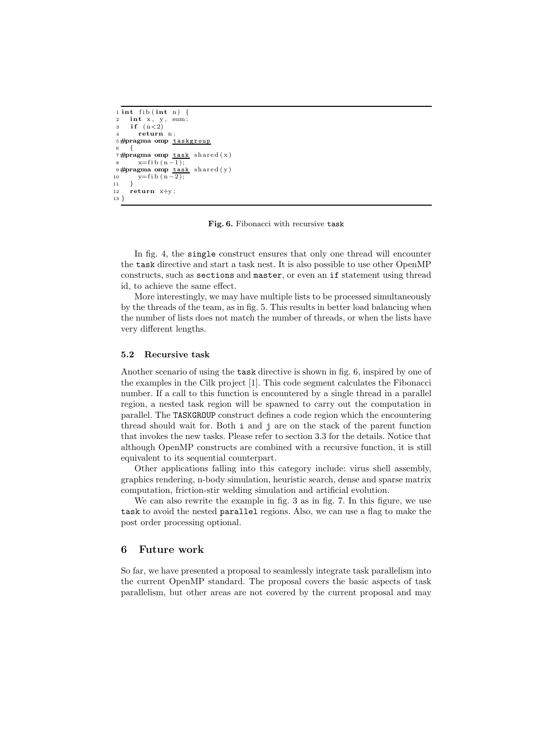```
1 int fib(int n)
 2 int x, y, sum;<br>3 if (n<2)return n;
 5#pragma omp taskgroup
 6 {
 7 \# \text{pragma} omp task shared (x)x=fib(n-1);9#pragma omp \frac{\text{task}}{10} shared (y)<br>10 y=fib (n-2);
\begin{array}{c} 11 \\ 12 \end{array}return x+y;13 }
```
Fig. 6. Fibonacci with recursive task

In fig. 4, the single construct ensures that only one thread will encounter the task directive and start a task nest. It is also possible to use other OpenMP constructs, such as sections and master, or even an if statement using thread id, to achieve the same effect.

More interestingly, we may have multiple lists to be processed simultaneously by the threads of the team, as in fig. 5. This results in better load balancing when the number of lists does not match the number of threads, or when the lists have very different lengths.

#### 5.2 Recursive task

Another scenario of using the task directive is shown in fig. 6, inspired by one of the examples in the Cilk project [1]. This code segment calculates the Fibonacci number. If a call to this function is encountered by a single thread in a parallel region, a nested task region will be spawned to carry out the computation in parallel. The TASKGROUP construct defines a code region which the encountering thread should wait for. Both i and j are on the stack of the parent function that invokes the new tasks. Please refer to section 3.3 for the details. Notice that although OpenMP constructs are combined with a recursive function, it is still equivalent to its sequential counterpart.

Other applications falling into this category include: virus shell assembly, graphics rendering, n-body simulation, heuristic search, dense and sparse matrix computation, friction-stir welding simulation and artificial evolution.

We can also rewrite the example in fig. 3 as in fig. 7. In this figure, we use task to avoid the nested parallel regions. Also, we can use a flag to make the post order processing optional.

## 6 Future work

So far, we have presented a proposal to seamlessly integrate task parallelism into the current OpenMP standard. The proposal covers the basic aspects of task parallelism, but other areas are not covered by the current proposal and may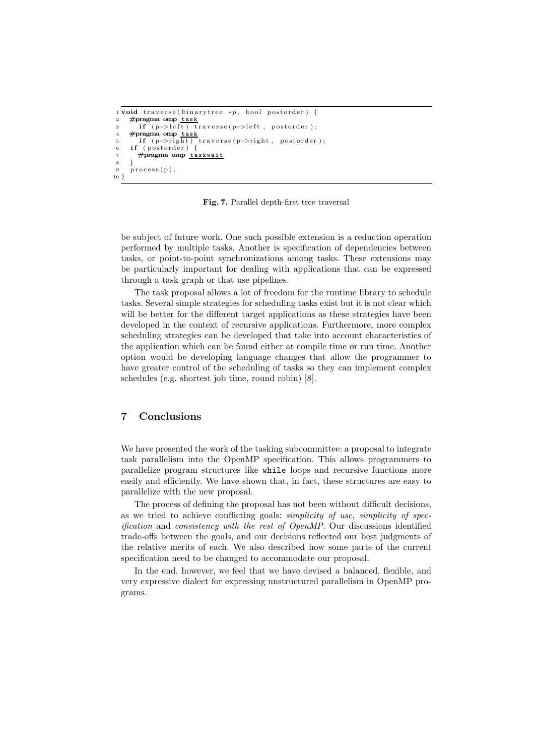```
1 void traverse (binarytree *p, bool postorder) {
2 \#pragma omp task
\frac{1}{3} if ( p->left ) traverse( p->left , postorder );
4 #pragma omp \frac{\text{task}}{5} if (p \rightarrow \text{right})\int \textbf{F} \left( p \rightarrow \text{right} \right) traverse(p->right, postorder);
6 if (postorder)
        #pragma omp taskwait
\mathbf{\hat{z}}9 process(p);
10 }
```
Fig. 7. Parallel depth-first tree traversal

be subject of future work. One such possible extension is a reduction operation performed by multiple tasks. Another is specification of dependencies between tasks, or point-to-point synchronizations among tasks. These extensions may be particularly important for dealing with applications that can be expressed through a task graph or that use pipelines.

The task proposal allows a lot of freedom for the runtime library to schedule tasks. Several simple strategies for scheduling tasks exist but it is not clear which will be better for the different target applications as these strategies have been developed in the context of recursive applications. Furthermore, more complex scheduling strategies can be developed that take into account characteristics of the application which can be found either at compile time or run time. Another option would be developing language changes that allow the programmer to have greater control of the scheduling of tasks so they can implement complex schedules (e.g. shortest job time, round robin) [8].

## 7 Conclusions

We have presented the work of the tasking subcommittee: a proposal to integrate task parallelism into the OpenMP specification. This allows programmers to parallelize program structures like while loops and recursive functions more easily and efficiently. We have shown that, in fact, these structures are easy to parallelize with the new proposal.

The process of defining the proposal has not been without difficult decisions, as we tried to achieve conflicting goals: simplicity of use, simplicity of specification and consistency with the rest of OpenMP. Our discussions identified trade-offs between the goals, and our decisions reflected our best judgments of the relative merits of each. We also described how some parts of the current specification need to be changed to accommodate our proposal.

In the end, however, we feel that we have devised a balanced, flexible, and very expressive dialect for expressing unstructured parallelism in OpenMP programs.